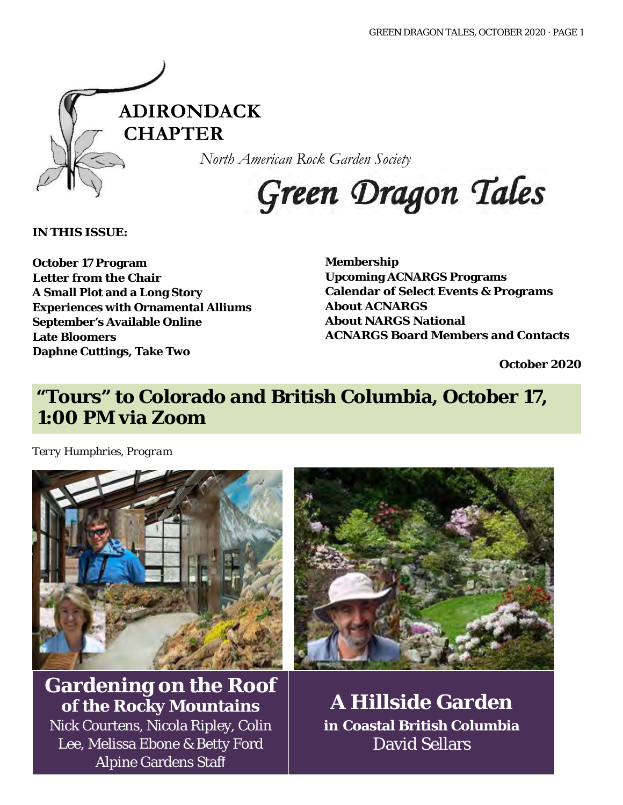

*North American Rock Garden Society*

# Green Dragon Tales

**IN THIS ISSUE:**

**October 17 Program Letter from the Chair A Small Plot and a Long Story Experiences with Ornamental Alliums September's Available Online Late Bloomers Daphne Cuttings, Take Two**

**Membership Upcoming ACNARGS Programs Calendar of Select Events & Programs About ACNARGS About NARGS National ACNARGS Board Members and Contacts**

**October 2020**

# **"Tours" to Colorado and British Columbia, October 17, 1:00 PM via Zoom**

*Terry Humphries, Program*



**Gardening on the Roof of the Rocky Mountains**

Nick Courtens, Nicola Ripley, Colin Lee, Melissa Ebone & Betty Ford Alpine Gardens Staff



**A Hillside Garden in Coastal British Columbia** David Sellars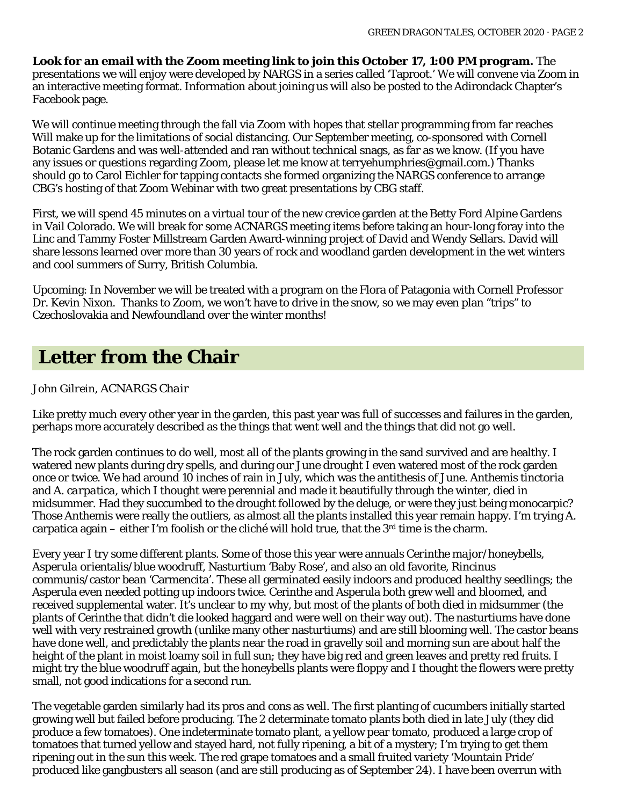**Look for an email with the Zoom meeting link to join this October 17, 1:00 PM program.** The presentations we will enjoy were developed by NARGS in a series called 'Taproot.' We will convene via Zoom in an interactive meeting format. Information about joining us will also be posted to the Adirondack Chapter's Facebook page.

We will continue meeting through the fall via Zoom with hopes that stellar programming from far reaches Will make up for the limitations of social distancing. Our September meeting, co-sponsored with Cornell Botanic Gardens and was well-attended and ran without technical snags, as far as we know. (If you have any issues or questions regarding Zoom, please let me know at [terryehumphries@gmail.com.](mailto:terryehumphries@gmail.com)) Thanks should go to Carol Eichler for tapping contacts she formed organizing the NARGS conference to arrange CBG's hosting of that Zoom Webinar with two great presentations by CBG staff.

First, we will spend 45 minutes on a virtual tour of the new crevice garden at the Betty Ford Alpine Gardens in Vail Colorado. We will break for some ACNARGS meeting items before taking an hour-long foray into the Linc and Tammy Foster Millstream Garden Award-winning project of David and Wendy Sellars. David will share lessons learned over more than 30 years of rock and woodland garden development in the wet winters and cool summers of Surry, British Columbia.

Upcoming: In November we will be treated with a program on the Flora of Patagonia with Cornell Professor Dr. Kevin Nixon. Thanks to Zoom, we won't have to drive in the snow, so we may even plan "trips" to Czechoslovakia and Newfoundland over the winter months!

### **Letter from the Chair**

#### *John Gilrein, ACNARGS Chair*

Like pretty much every other year in the garden, this past year was full of successes and failures in the garden, perhaps more accurately described as the things that went well and the things that did not go well.

The rock garden continues to do well, most all of the plants growing in the sand survived and are healthy. I watered new plants during dry spells, and during our June drought I even watered most of the rock garden once or twice. We had around 10 inches of rain in July, which was the antithesis of June. *Anthemis tinctoria* and *A. carpatica*, which I thought were perennial and made it beautifully through the winter, died in midsummer. Had they succumbed to the drought followed by the deluge, or were they just being monocarpic? Those Anthemis were really the outliers, as almost all the plants installed this year remain happy. I'm trying A. carpatica again – either I'm foolish or the cliché will hold true, that the  $3<sup>rd</sup>$  time is the charm.

Every year I try some different plants. Some of those this year were annuals *Cerinthe major*/honeybells, *Asperula orientalis*/blue woodruff, Nasturtium 'Baby Rose', and also an old favorite, *Rincinus communis*/castor bean 'Carmencita'. These all germinated easily indoors and produced healthy seedlings; the Asperula even needed potting up indoors twice. Cerinthe and Asperula both grew well and bloomed, and received supplemental water. It's unclear to my why, but most of the plants of both died in midsummer (the plants of Cerinthe that didn't die looked haggard and were well on their way out). The nasturtiums have done well with very restrained growth (unlike many other nasturtiums) and are still blooming well. The castor beans have done well, and predictably the plants near the road in gravelly soil and morning sun are about half the height of the plant in moist loamy soil in full sun; they have big red and green leaves and pretty red fruits. I might try the blue woodruff again, but the honeybells plants were floppy and I thought the flowers were pretty small, not good indications for a second run.

The vegetable garden similarly had its pros and cons as well. The first planting of cucumbers initially started growing well but failed before producing. The 2 determinate tomato plants both died in late July (they did produce a few tomatoes). One indeterminate tomato plant, a yellow pear tomato, produced a large crop of tomatoes that turned yellow and stayed hard, not fully ripening, a bit of a mystery; I'm trying to get them ripening out in the sun this week. The red grape tomatoes and a small fruited variety 'Mountain Pride' produced like gangbusters all season (and are still producing as of September 24). I have been overrun with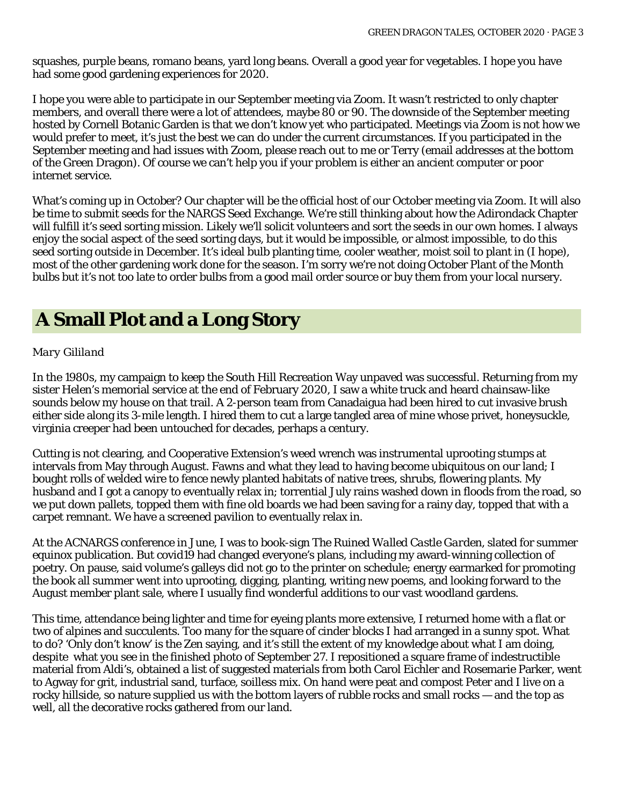squashes, purple beans, romano beans, yard long beans. Overall a good year for vegetables. I hope you have had some good gardening experiences for 2020.

I hope you were able to participate in our September meeting via Zoom. It wasn't restricted to only chapter members, and overall there were a lot of attendees, maybe 80 or 90. The downside of the September meeting hosted by Cornell Botanic Garden is that we don't know yet who participated. Meetings via Zoom is not how we would prefer to meet, it's just the best we can do under the current circumstances. If you participated in the September meeting and had issues with Zoom, please reach out to me or Terry (email addresses at the bottom of the Green Dragon). Of course we can't help you if your problem is either an ancient computer or poor internet service.

What's coming up in October? Our chapter will be the official host of our October meeting via Zoom. It will also be time to submit seeds for the NARGS Seed Exchange. We're still thinking about how the Adirondack Chapter will fulfill it's seed sorting mission. Likely we'll solicit volunteers and sort the seeds in our own homes. I always enjoy the social aspect of the seed sorting days, but it would be impossible, or almost impossible, to do this seed sorting outside in December. It's ideal bulb planting time, cooler weather, moist soil to plant in (I hope), most of the other gardening work done for the season. I'm sorry we're not doing October Plant of the Month bulbs but it's not too late to order bulbs from a good mail order source or buy them from your local nursery.

## **A Small Plot and a Long Story**

#### *Mary Gililand*

In the 1980s, my campaign to keep the South Hill Recreation Way unpaved was successful. Returning from my sister Helen's memorial service at the end of February 2020, I saw a white truck and heard chainsaw-like sounds below my house on that trail. A 2-person team from Canadaigua had been hired to cut invasive brush either side along its 3-mile length. I hired them to cut a large tangled area of mine whose privet, honeysuckle, virginia creeper had been untouched for decades, perhaps a century.

Cutting is not clearing, and Cooperative Extension's weed wrench was instrumental uprooting stumps at intervals from May through August. Fawns and what they lead to having become ubiquitous on our land; I bought rolls of welded wire to fence newly planted habitats of native trees, shrubs, flowering plants. My husband and I got a canopy to eventually relax in; torrential July rains washed down in floods from the road, so we put down pallets, topped them with fine old boards we had been saving for a rainy day, topped that with a carpet remnant. We have a screened pavilion to eventually relax in.

At the ACNARGS conference in June, I was to book-sign *The Ruined Walled Castle Garden,* slated for summer equinox publication. But covid19 had changed everyone's plans, including my award-winning collection of poetry. On pause, said volume's galleys did not go to the printer on schedule; energy earmarked for promoting the book all summer went into uprooting, digging, planting, writing new poems, and looking forward to the August member plant sale, where I usually find wonderful additions to our vast woodland gardens.

This time, attendance being lighter and time for eyeing plants more extensive, I returned home with a flat or two of alpines and succulents. Too many for the square of cinder blocks I had arranged in a sunny spot. What to do? 'Only don't know' is the Zen saying, and it's still the extent of my knowledge about what I am doing, despite what you see in the finished photo of September 27. I repositioned a square frame of indestructible material from Aldi's, obtained a list of suggested materials from both Carol Eichler and Rosemarie Parker, went to Agway for grit, industrial sand, turface, soilless mix. On hand were peat and compost Peter and I live on a rocky hillside, so nature supplied us with the bottom layers of rubble rocks and small rocks — and the top as well, all the decorative rocks gathered from our land.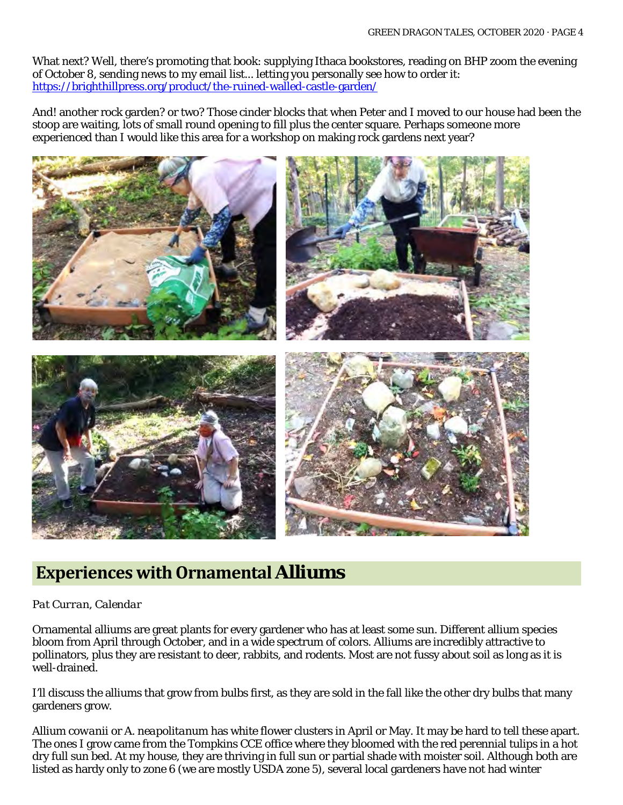What next? Well, there's promoting that book: supplying Ithaca bookstores, reading on BHP zoom the evening of October 8, sending news to my email list... letting you personally see how to order it: <https://brighthillpress.org/product/the-ruined-walled-castle-garden/>

And! another rock garden? or two? Those cinder blocks that when Peter and I moved to our house had been the stoop are waiting, lots of small round opening to fill plus the center square. Perhaps someone more experienced than I would like this area for a workshop on making rock gardens next year?



### **Experiences with Ornamental Alliums**

#### *Pat Curran, Calendar*

Ornamental alliums are great plants for every gardener who has at least some sun. Different allium species bloom from April through October, and in a wide spectrum of colors. Alliums are incredibly attractive to pollinators, plus they are resistant to deer, rabbits, and rodents. Most are not fussy about soil as long as it is well-drained.

I'll discuss the alliums that grow from bulbs first, as they are sold in the fall like the other dry bulbs that many gardeners grow.

*Allium cowanii* or *A. neapolitanum* has white flower clusters in April or May. It may be hard to tell these apart. The ones I grow came from the Tompkins CCE office where they bloomed with the red perennial tulips in a hot dry full sun bed. At my house, they are thriving in full sun or partial shade with moister soil. Although both are listed as hardy only to zone 6 (we are mostly USDA zone 5), several local gardeners have not had winter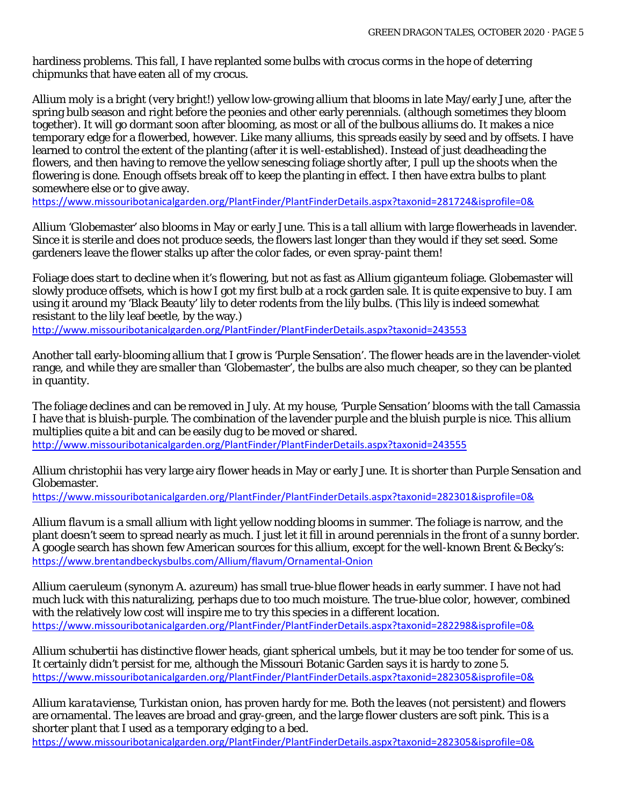hardiness problems. This fall, I have replanted some bulbs with crocus corms in the hope of deterring chipmunks that have eaten all of my crocus.

*Allium moly* is a bright (very bright!) yellow low-growing allium that blooms in late May/early June, after the spring bulb season and right before the peonies and other early perennials. (although sometimes they bloom together). It will go dormant soon after blooming, as most or all of the bulbous alliums do. It makes a nice temporary edge for a flowerbed, however. Like many alliums, this spreads easily by seed and by offsets. I have learned to control the extent of the planting (after it is well-established). Instead of just deadheading the flowers, and then having to remove the yellow senescing foliage shortly after, I pull up the shoots when the flowering is done. Enough offsets break off to keep the planting in effect. I then have extra bulbs to plant somewhere else or to give away.

<https://www.missouribotanicalgarden.org/PlantFinder/PlantFinderDetails.aspx?taxonid=281724&isprofile=0&>

*Allium* 'Globemaster' also blooms in May or early June. This is a tall allium with large flowerheads in lavender. Since it is sterile and does not produce seeds, the flowers last longer than they would if they set seed. Some gardeners leave the flower stalks up after the color fades, or even spray-paint them!

Foliage does start to decline when it's flowering, but not as fast as *Allium giganteum* foliage. Globemaster will slowly produce offsets, which is how I got my first bulb at a rock garden sale. It is quite expensive to buy. I am using it around my 'Black Beauty' lily to deter rodents from the lily bulbs. (This lily is indeed somewhat resistant to the lily leaf beetle, by the way.)

<http://www.missouribotanicalgarden.org/PlantFinder/PlantFinderDetails.aspx?taxonid=243553>

Another tall early-blooming allium that I grow is 'Purple Sensation'. The flower heads are in the lavender-violet range, and while they are smaller than 'Globemaster', the bulbs are also much cheaper, so they can be planted in quantity.

The foliage declines and can be removed in July. At my house, 'Purple Sensation' blooms with the tall Camassia I have that is bluish-purple. The combination of the lavender purple and the bluish purple is nice. This allium multiplies quite a bit and can be easily dug to be moved or shared. <http://www.missouribotanicalgarden.org/PlantFinder/PlantFinderDetails.aspx?taxonid=243555>

*Allium christophii* has very large airy flower heads in May or early June. It is shorter than Purple Sensation and Globemaster.

<https://www.missouribotanicalgarden.org/PlantFinder/PlantFinderDetails.aspx?taxonid=282301&isprofile=0&>

*Allium flavum* is a small allium with light yellow nodding blooms in summer. The foliage is narrow, and the plant doesn't seem to spread nearly as much. I just let it fill in around perennials in the front of a sunny border. A google search has shown few American sources for this allium, except for the well-known Brent & Becky's: <https://www.brentandbeckysbulbs.com/Allium/flavum/Ornamental-Onion>

*Allium caeruleum* (synonym A. *azureum*) has small true-blue flower heads in early summer. I have not had much luck with this naturalizing, perhaps due to too much moisture. The true-blue color, however, combined with the relatively low cost will inspire me to try this species in a different location. <https://www.missouribotanicalgarden.org/PlantFinder/PlantFinderDetails.aspx?taxonid=282298&isprofile=0&>

*Allium schubertii* has distinctive flower heads, giant spherical umbels, but it may be too tender for some of us. It certainly didn't persist for me, although the Missouri Botanic Garden says it is hardy to zone 5. <https://www.missouribotanicalgarden.org/PlantFinder/PlantFinderDetails.aspx?taxonid=282305&isprofile=0&>

*Allium karataviense*, Turkistan onion, has proven hardy for me. Both the leaves (not persistent) and flowers are ornamental. The leaves are broad and gray-green, and the large flower clusters are soft pink. This is a shorter plant that I used as a temporary edging to a bed.

<https://www.missouribotanicalgarden.org/PlantFinder/PlantFinderDetails.aspx?taxonid=282305&isprofile=0&>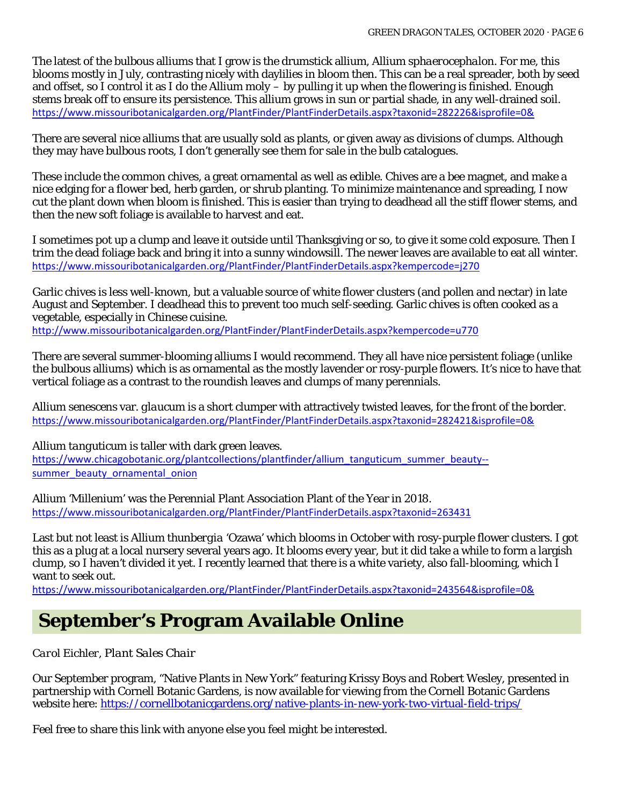The latest of the bulbous alliums that I grow is the drumstick allium, *Allium sphaerocephalon*. For me, this blooms mostly in July, contrasting nicely with daylilies in bloom then. This can be a real spreader, both by seed and offset, so I control it as I do the *Allium moly* – by pulling it up when the flowering is finished. Enough stems break off to ensure its persistence. This allium grows in sun or partial shade, in any well-drained soil. <https://www.missouribotanicalgarden.org/PlantFinder/PlantFinderDetails.aspx?taxonid=282226&isprofile=0&>

There are several nice alliums that are usually sold as plants, or given away as divisions of clumps. Although they may have bulbous roots, I don't generally see them for sale in the bulb catalogues.

These include the common chives, a great ornamental as well as edible. Chives are a bee magnet, and make a nice edging for a flower bed, herb garden, or shrub planting. To minimize maintenance and spreading, I now cut the plant down when bloom is finished. This is easier than trying to deadhead all the stiff flower stems, and then the new soft foliage is available to harvest and eat.

I sometimes pot up a clump and leave it outside until Thanksgiving or so, to give it some cold exposure. Then I trim the dead foliage back and bring it into a sunny windowsill. The newer leaves are available to eat all winter. <https://www.missouribotanicalgarden.org/PlantFinder/PlantFinderDetails.aspx?kempercode=j270>

Garlic chives is less well-known, but a valuable source of white flower clusters (and pollen and nectar) in late August and September. I deadhead this to prevent too much self-seeding. Garlic chives is often cooked as a vegetable, especially in Chinese cuisine.

<http://www.missouribotanicalgarden.org/PlantFinder/PlantFinderDetails.aspx?kempercode=u770>

There are several summer-blooming alliums I would recommend. They all have nice persistent foliage (unlike the bulbous alliums) which is as ornamental as the mostly lavender or rosy-purple flowers. It's nice to have that vertical foliage as a contrast to the roundish leaves and clumps of many perennials.

*Allium senescens* var*. glaucum* is a short clumper with attractively twisted leaves, for the front of the border. <https://www.missouribotanicalgarden.org/PlantFinder/PlantFinderDetails.aspx?taxonid=282421&isprofile=0&>

*Allium tanguticum* is taller with dark green leaves.

[https://www.chicagobotanic.org/plantcollections/plantfinder/allium\\_tanguticum\\_summer\\_beauty-](https://www.chicagobotanic.org/plantcollections/plantfinder/allium_tanguticum_summer_beauty--summer_beauty_ornamental_onion) [summer\\_beauty\\_ornamental\\_onion](https://www.chicagobotanic.org/plantcollections/plantfinder/allium_tanguticum_summer_beauty--summer_beauty_ornamental_onion)

Allium 'Millenium' was the Perennial Plant Association Plant of the Year in 2018. <https://www.missouribotanicalgarden.org/PlantFinder/PlantFinderDetails.aspx?taxonid=263431>

Last but not least is *Allium thunbergia* 'Ozawa' which blooms in October with rosy-purple flower clusters. I got this as a plug at a local nursery several years ago. It blooms every year, but it did take a while to form a largish clump, so I haven't divided it yet. I recently learned that there is a white variety, also fall-blooming, which I want to seek out.

<https://www.missouribotanicalgarden.org/PlantFinder/PlantFinderDetails.aspx?taxonid=243564&isprofile=0&>

### **September's Program Available Online**

*Carol Eichler, Plant Sales Chair*

Our September program, "Native Plants in New York" featuring Krissy Boys and Robert Wesley, presented in partnership with Cornell Botanic Gardens, is now available for viewing from the Cornell Botanic Gardens website here[: https://cornellbotanicgardens.org/native-plants-in-new-york-two-virtual-field-trips/](https://cornellbotanicgardens.org/native-plants-in-new-york-two-virtual-field-trips/)

Feel free to share this link with anyone else you feel might be interested.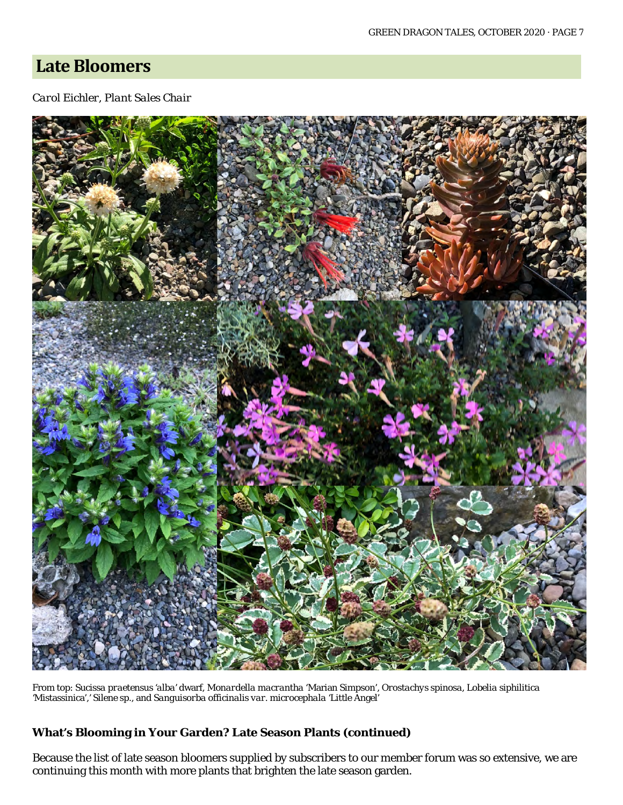### **Late Bloomers**

#### *Carol Eichler, Plant Sales Chair*



From top: *Sucissa praetensus 'alba'* dwarf*, Monardella macrantha* 'Marian Simpson'*, Orostachys spinosa, Lobelia siphilitica '*Mistassinica',*' Silene sp.,* and *Sanguisorba officinalis var. microcephala* 'Little Angel'

#### **What's Blooming in Your Garden? Late Season Plants (continued)**

Because the list of late season bloomers supplied by subscribers to our member forum was so extensive, we are continuing this month with more plants that brighten the late season garden.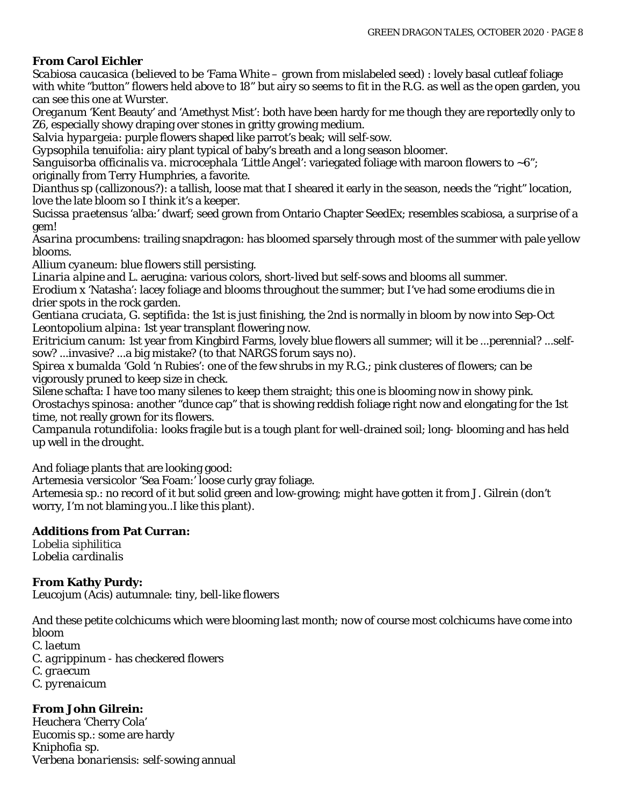#### **From Carol Eichler**

*Scabiosa caucasica (*believed to be 'Fama White – grown from mislabeled seed*)* : lovely basal cutleaf foliage with white "button" flowers held above to 18" but airy so seems to fit in the R.G. as well as the open garden, you can see this one at Wurster.

*Oreganum* 'Kent Beauty' and 'Amethyst Mist': both have been hardy for me though they are reportedly only to Z6, especially showy draping over stones in gritty growing medium.

*Salvia hypargeia*: purple flowers shaped like parrot's beak; will self-sow.

*Gypsophila tenuifolia*: airy plant typical of baby's breath and a long season bloomer.

*Sanguisorba officinalis va. microcephala* 'Little Angel': variegated foliage with maroon flowers to ~6"; originally from Terry Humphries, a favorite.

*Dianthus* sp (callizonous?): a tallish, loose mat that I sheared it early in the season, needs the "right" location, love the late bloom so I think it's a keeper.

*Sucissa praetensus* 'alba:' dwarf; seed grown from Ontario Chapter SeedEx; resembles scabiosa, a surprise of a gem!

*Asarina procumbens*: trailing snapdragon: has bloomed sparsely through most of the summer with pale yellow blooms.

*Allium cyaneum*: blue flowers still persisting.

*Linaria alpine* and L. aerugina: various colors, short-lived but self-sows and blooms all summer. *Erodium* x 'Natasha': lacey foliage and blooms throughout the summer; but I've had some erodiums die in drier spots in the rock garden.

*Gentiana cruciata, G. septifida*: the 1st is just finishing, the 2nd is normally in bloom by now into Sep-Oct *Leontopolium alpina*: 1st year transplant flowering now.

*Eritricium canum*: 1st year from Kingbird Farms, lovely blue flowers all summer; will it be ...perennial? ...selfsow? ...invasive? ...a big mistake? (to that NARGS forum says no).

*Spirea x bumalda* 'Gold 'n Rubies': one of the few shrubs in my R.G.; pink clusteres of flowers; can be vigorously pruned to keep size in check.

*Silene* schafta: I have too many silenes to keep them straight; this one is blooming now in showy pink. *Orostachys spinosa*: another "dunce cap" that is showing reddish foliage right now and elongating for the 1st time, not really grown for its flowers.

*Campanula rotundifolia:* looks fragile but is a tough plant for well-drained soil; long- blooming and has held up well in the drought.

And foliage plants that are looking good:

*Artemesia versicolor* 'Sea Foam:' loose curly gray foliage.

Artemesia sp.: no record of it but solid green and low-growing; might have gotten it from J. Gilrein (don't worry, I'm not blaming you..I like this plant).

#### **Additions from Pat Curran:**

*Lobelia siphilitica Lobelia cardinalis*

#### **From Kathy Purdy:**

*Leucojum (Acis*) autumnale: tiny, bell-like flowers

And these petite colchicums which were blooming last month; now of course most colchicums have come into bloom

*C. laetum*

*C. agrippinum* - has checkered flowers *C. graecum*

*C. pyrenaicum*

#### **From John Gilrein:**

*Heucher*a 'Cherry Cola' *Eucomis* sp.: some are hardy *Kniphofia* sp. *Verbena bonariensis:* self-sowing annual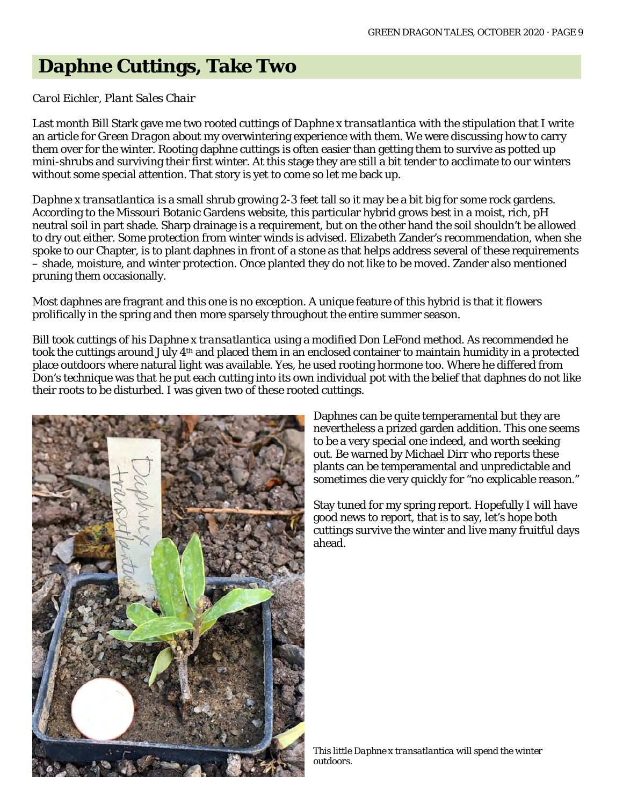### **Daphne Cuttings, Take Two**

#### *Carol Eichler, Plant Sales Chair*

Last month Bill Stark gave me two rooted cuttings of *Daphne x transatlantica* with the stipulation that I write an article for *Green Dragon* about my overwintering experience with them. We were discussing how to carry them over for the winter. Rooting daphne cuttings is often easier than getting them to survive as potted up mini-shrubs and surviving their first winter. At this stage they are still a bit tender to acclimate to our winters without some special attention. That story is yet to come so let me back up.

*Daphne x transatlantica* is a small shrub growing 2-3 feet tall so it may be a bit big for some rock gardens. According to the Missouri Botanic Gardens website, this particular hybrid grows best in a moist, rich, pH neutral soil in part shade. Sharp drainage is a requirement, but on the other hand the soil shouldn't be allowed to dry out either. Some protection from winter winds is advised. Elizabeth Zander's recommendation, when she spoke to our Chapter, is to plant daphnes in front of a stone as that helps address several of these requirements – shade, moisture, and winter protection. Once planted they do not like to be moved. Zander also mentioned pruning them occasionally.

Most daphnes are fragrant and this one is no exception. A unique feature of this hybrid is that it flowers prolifically in the spring and then more sparsely throughout the entire summer season.

Bill took cuttings of his *Daphne x transatlantica* using a modified Don LeFond method. As recommended he took the cuttings around July 4th and placed them in an enclosed container to maintain humidity in a protected place outdoors where natural light was available. Yes, he used rooting hormone too. Where he differed from Don's technique was that he put each cutting into its own individual pot with the belief that daphnes do not like their roots to be disturbed. I was given two of these rooted cuttings.



Daphnes can be quite temperamental but they are nevertheless a prized garden addition. This one seems to be a very special one indeed, and worth seeking out. Be warned by Michael Dirr who reports these plants can be temperamental and unpredictable and sometimes die very quickly for "no explicable reason."

Stay tuned for my spring report. Hopefully I will have good news to report, that is to say, let's hope both cuttings survive the winter and live many fruitful days ahead.

*This little Daphne x transatlantica will spend the winter outdoors.*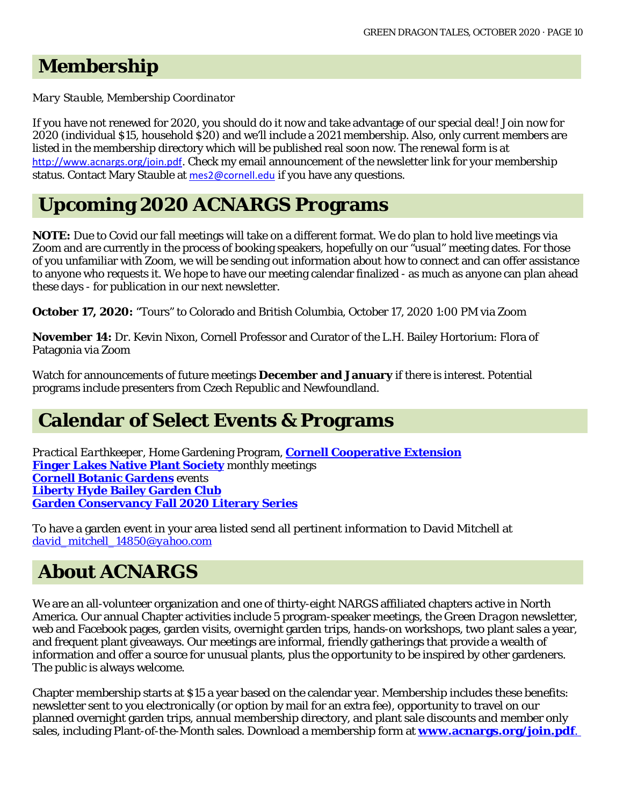### **Membership**

*Mary Stauble, Membership Coordinator*

If you have not renewed for 2020, you should do it now and take advantage of our special deal! Join now for 2020 (individual \$15, household \$20) and we'll include a 2021 membership. Also, only current members are listed in the membership directory which will be published real soon now. The renewal form is at <http://www.acnargs.org/join.pdf>. Check my email announcement of the newsletter link for your membership status. Contact Mary Stauble at [mes2@cornell.edu](mailto:mes2@cornell.edu) if you have any questions.

### **Upcoming 2020 ACNARGS Programs**

**NOTE:** Due to Covid our fall meetings will take on a different format. We do plan to hold live meetings via Zoom and are currently in the process of booking speakers, hopefully on our "usual" meeting dates. For those of you unfamiliar with Zoom, we will be sending out information about how to connect and can offer assistance to anyone who requests it. We hope to have our meeting calendar finalized - as much as anyone can plan ahead these days - for publication in our next newsletter.

**October 17, 2020:** "Tours" to Colorado and British Columbia, October 17, 2020 1:00 PM via Zoom

**November 14:** Dr. Kevin Nixon, Cornell Professor and Curator of the L.H. Bailey Hortorium: Flora of Patagonia via Zoom

Watch for announcements of future meetings **December and January** if there is interest. Potential programs include presenters from Czech Republic and Newfoundland.

### **Calendar of Select Events & Programs**

*Practical Earthkeeper*, Home Gardening Program, **[Cornell Cooperative Extension](http://ccetompkins.org/gardening/practical-earthkeeper) [Finger Lakes Native Plant Society](http://ccetompkins.org/gardening/practical-earthkeeper)** monthly meetings **[Cornell Botanic Gardens](https://cornellbotanicgardens.org/explore/events/)** events **[Liberty Hyde Bailey Garden Club](http://www.hort.cornell.edu/LHBGC/) [Garden Conservancy Fall 2020 Literary Series](https://www.gardenconservancy.org/education/education-events)**

To have a garden event in your area listed send all pertinent information to David Mitchell at *[david\\_mitchell\\_14850@yahoo.com](mailto:david_mitchell_14850@yahoo.com)*

## **About ACNARGS**

We are an all-volunteer organization and one of thirty-eight NARGS affiliated chapters active in North America. Our annual Chapter activities include 5 program-speaker meetings, the *Green Dragon* newsletter, web and Facebook pages, garden visits, overnight garden trips, hands-on workshops, two plant sales a year, and frequent plant giveaways. Our meetings are informal, friendly gatherings that provide a wealth of information and offer a source for unusual plants, plus the opportunity to be inspired by other gardeners. The public is always welcome.

Chapter membership starts at \$15 a year based on the calendar year. Membership includes these benefits: newsletter sent to you electronically (or option by mail for an extra fee), opportunity to travel on our planned overnight garden trips, annual membership directory, and plant sale discounts and member only sales, including Plant-of-the-Month sales. Download a membership form at **[www.acnargs.org/join.pdf](http://www.acnargs.org/join.pdf.)**.